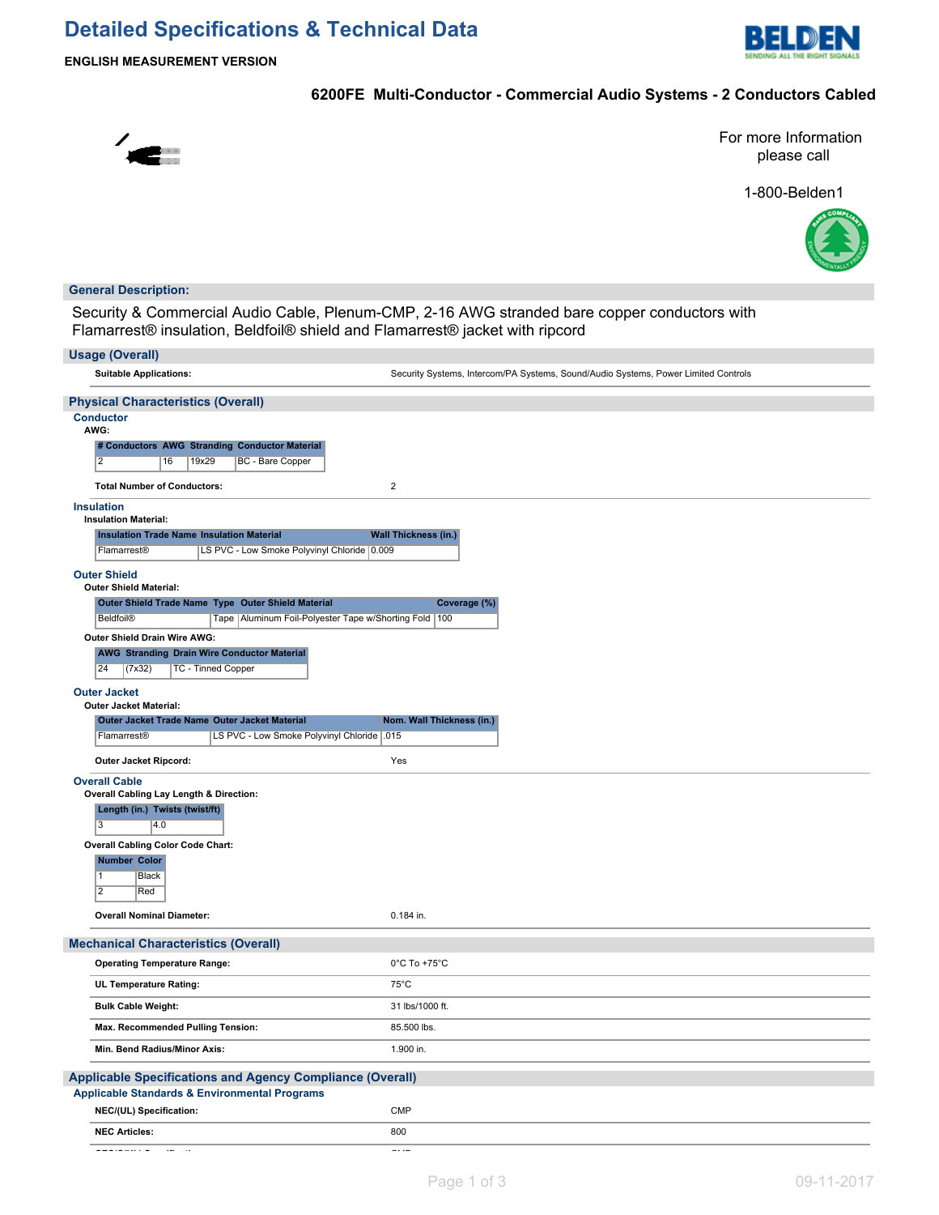## **Detailed Specifications & Technical Data**



**ENGLISH MEASUREMENT VERSION**

### **6200FE Multi-Conductor - Commercial Audio Systems - 2 Conductors Cabled**



For more Information please call

1-800-Belden1



#### **General Description:**

Security & Commercial Audio Cable, Plenum-CMP, 2-16 AWG stranded bare copper conductors with Flamarrest® insulation, Beldfoil® shield and Flamarrest® jacket with ripcord

| <b>Usage (Overall)</b>                                                                                                              |                                                                                    |
|-------------------------------------------------------------------------------------------------------------------------------------|------------------------------------------------------------------------------------|
| <b>Suitable Applications:</b>                                                                                                       | Security Systems, Intercom/PA Systems, Sound/Audio Systems, Power Limited Controls |
| <b>Physical Characteristics (Overall)</b>                                                                                           |                                                                                    |
| <b>Conductor</b><br>AWG:                                                                                                            |                                                                                    |
| # Conductors AWG Stranding Conductor Material                                                                                       |                                                                                    |
| $\overline{2}$<br>19x29<br><b>BC</b> - Bare Copper<br>16                                                                            |                                                                                    |
| <b>Total Number of Conductors:</b>                                                                                                  | $\overline{\mathbf{c}}$                                                            |
| <b>Insulation</b><br><b>Insulation Material:</b>                                                                                    |                                                                                    |
| <b>Insulation Trade Name Insulation Material</b>                                                                                    | <b>Wall Thickness (in.)</b>                                                        |
| LS PVC - Low Smoke Polyvinyl Chloride 0.009<br>Flamarrest®                                                                          |                                                                                    |
| <b>Outer Shield</b>                                                                                                                 |                                                                                    |
| <b>Outer Shield Material:</b>                                                                                                       |                                                                                    |
| Outer Shield Trade Name Type Outer Shield Material<br><b>Beldfoil®</b><br>Tape   Aluminum Foil-Polyester Tape w/Shorting Fold   100 | Coverage (%)                                                                       |
| Outer Shield Drain Wire AWG:                                                                                                        |                                                                                    |
| <b>AWG Stranding Drain Wire Conductor Material</b>                                                                                  |                                                                                    |
| 24<br>(7x32)<br><b>TC - Tinned Copper</b>                                                                                           |                                                                                    |
| <b>Outer Jacket</b>                                                                                                                 |                                                                                    |
| <b>Outer Jacket Material:</b>                                                                                                       |                                                                                    |
| <b>Outer Jacket Trade Name Outer Jacket Material</b>                                                                                | Nom. Wall Thickness (in.)                                                          |
| LS PVC - Low Smoke Polyvinyl Chloride   015<br>Flamarrest <sup>®</sup>                                                              |                                                                                    |
| Outer Jacket Ripcord:                                                                                                               | Yes                                                                                |
| <b>Overall Cable</b>                                                                                                                |                                                                                    |
| Overall Cabling Lay Length & Direction:<br>Length (in.) Twists (twist/ft)                                                           |                                                                                    |
| $\overline{3}$<br>4.0                                                                                                               |                                                                                    |
| <b>Overall Cabling Color Code Chart:</b>                                                                                            |                                                                                    |
| Number Color                                                                                                                        |                                                                                    |
| $\overline{1}$<br>Black                                                                                                             |                                                                                    |
| $\overline{2}$<br>Red                                                                                                               |                                                                                    |
| <b>Overall Nominal Diameter:</b>                                                                                                    | 0.184 in.                                                                          |
| <b>Mechanical Characteristics (Overall)</b>                                                                                         |                                                                                    |
| <b>Operating Temperature Range:</b>                                                                                                 | $0^{\circ}$ C To +75 $^{\circ}$ C                                                  |
| UL Temperature Rating:                                                                                                              | $75^{\circ}$ C                                                                     |
| <b>Bulk Cable Weight:</b>                                                                                                           | 31 lbs/1000 ft.                                                                    |
| Max. Recommended Pulling Tension:                                                                                                   | 85.500 lbs.                                                                        |
| Min. Bend Radius/Minor Axis:                                                                                                        | 1.900 in.                                                                          |
| <b>Applicable Specifications and Agency Compliance (Overall)</b>                                                                    |                                                                                    |
| Applicable Standards & Environmental Programs                                                                                       |                                                                                    |
| NEC/(UL) Specification:                                                                                                             | <b>CMP</b>                                                                         |
| <b>NEC Articles:</b>                                                                                                                | 800                                                                                |
| $\omega = \omega$ , $\omega$ , $\omega$ , $\omega$ , $\omega$<br>$\sim$ $-$<br>$\sim$                                               | $\sim$ - $\sim$ $\sim$                                                             |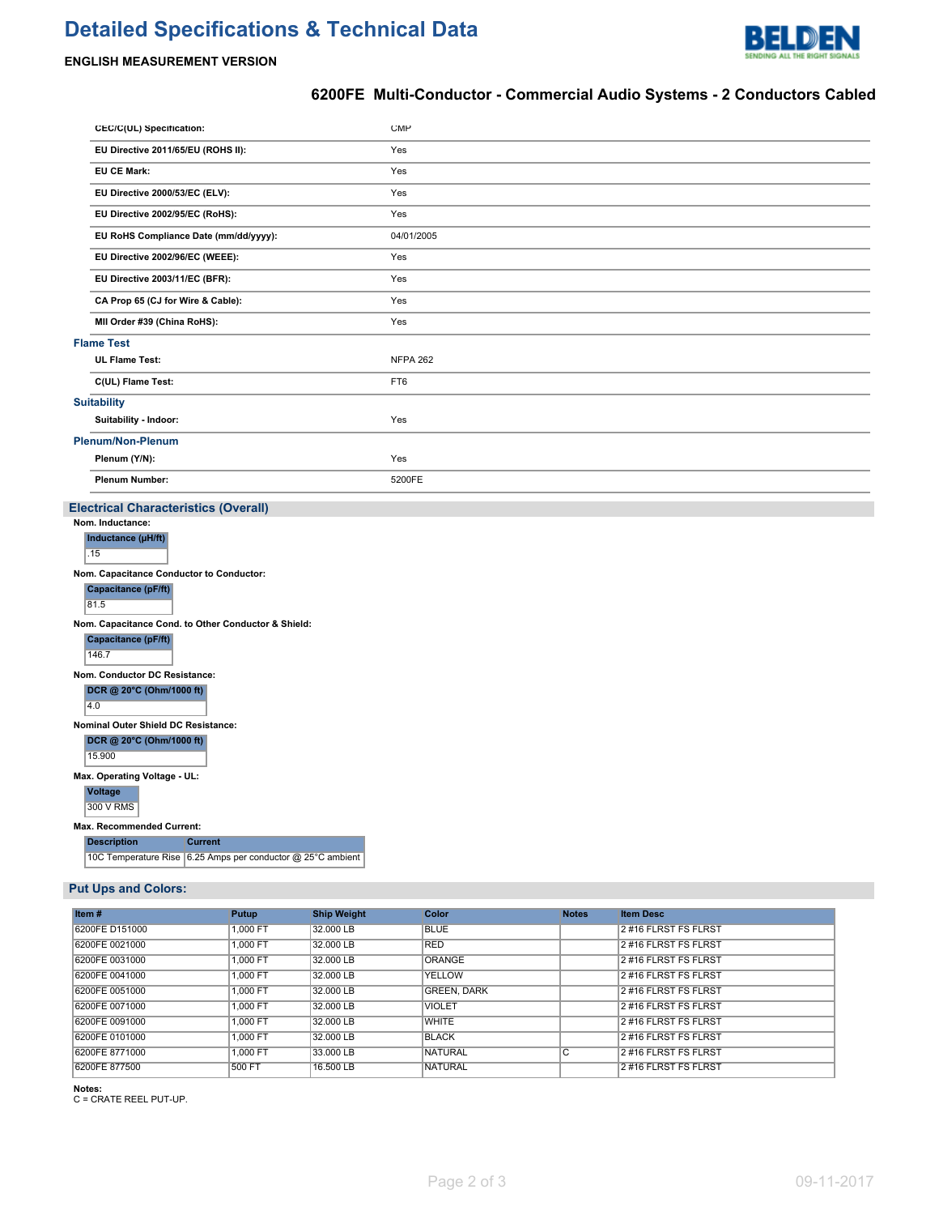# **Detailed Specifications & Technical Data**



#### **ENGLISH MEASUREMENT VERSION**

### **6200FE Multi-Conductor - Commercial Audio Systems - 2 Conductors Cabled**

|                          | CEC/C(UL) Specification:                    | <b>CMP</b>      |  |  |  |
|--------------------------|---------------------------------------------|-----------------|--|--|--|
|                          | EU Directive 2011/65/EU (ROHS II):          | Yes             |  |  |  |
|                          | <b>EU CE Mark:</b>                          | Yes             |  |  |  |
|                          | EU Directive 2000/53/EC (ELV):              | Yes             |  |  |  |
|                          | EU Directive 2002/95/EC (RoHS):             | Yes             |  |  |  |
|                          | EU RoHS Compliance Date (mm/dd/yyyy):       | 04/01/2005      |  |  |  |
|                          | EU Directive 2002/96/EC (WEEE):             | Yes             |  |  |  |
|                          | EU Directive 2003/11/EC (BFR):              | Yes             |  |  |  |
|                          | CA Prop 65 (CJ for Wire & Cable):           | Yes             |  |  |  |
|                          | MII Order #39 (China RoHS):                 | Yes             |  |  |  |
| <b>Flame Test</b>        |                                             |                 |  |  |  |
|                          | <b>UL Flame Test:</b>                       | <b>NFPA 262</b> |  |  |  |
|                          | C(UL) Flame Test:                           | FT6             |  |  |  |
| <b>Suitability</b>       |                                             |                 |  |  |  |
|                          | Suitability - Indoor:                       | Yes             |  |  |  |
| <b>Plenum/Non-Plenum</b> |                                             |                 |  |  |  |
|                          | Plenum (Y/N):                               | Yes             |  |  |  |
|                          | <b>Plenum Number:</b>                       | 5200FE          |  |  |  |
|                          | <b>Electrical Characteristics (Overall)</b> |                 |  |  |  |

| Nom. Inductance:                                    |  |  |
|-----------------------------------------------------|--|--|
| Inductance (µH/ft)                                  |  |  |
| .15                                                 |  |  |
| Nom. Capacitance Conductor to Conductor:            |  |  |
| Capacitance (pF/ft)                                 |  |  |
| 81.5                                                |  |  |
| Nom. Capacitance Cond. to Other Conductor & Shield: |  |  |
| Capacitance (pF/ft)                                 |  |  |
| 146.7                                               |  |  |
| Nom. Conductor DC Resistance:                       |  |  |
| DCR @ 20°C (Ohm/1000 ft)                            |  |  |
| 4.0                                                 |  |  |
| Nominal Outer Shield DC Resistance:                 |  |  |
| DCR @ 20°C (Ohm/1000 ft)                            |  |  |
| 15.900                                              |  |  |

**Max. Operating Voltage - UL:**

**Voltage** 300 V RMS

**Max. Recommended Current:**

**Description Current**

10C Temperature Rise  $|6.25$  Amps per conductor @ 25°C ambient

#### **Put Ups and Colors:**

| Item $#$       | Putup    | <b>Ship Weight</b> | <b>Color</b>       | <b>Notes</b> | <b>Item Desc</b>     |
|----------------|----------|--------------------|--------------------|--------------|----------------------|
| 6200FE D151000 | 1.000 FT | 32.000 LB          | <b>BLUE</b>        |              | 2#16 FLRST FS FLRST  |
| 6200FE 0021000 | 1.000 FT | 32.000 LB          | <b>RED</b>         |              | 2#16 FLRST FS FLRST  |
| 6200FE 0031000 | 1.000 FT | 32.000 LB          | ORANGE             |              | 2 #16 FLRST FS FLRST |
| 6200FE 0041000 | 1.000 FT | 32.000 LB          | YELLOW             |              | 2#16 FLRST FS FLRST  |
| 6200FE 0051000 | 1.000 FT | 32,000 LB          | <b>GREEN, DARK</b> |              | 2#16 FLRST FS FLRST  |
| 6200FE 0071000 | 1.000 FT | 32.000 LB          | <b>VIOLET</b>      |              | 2 #16 FLRST FS FLRST |
| 6200FE 0091000 | 1.000 FT | 32.000 LB          | <b>WHITE</b>       |              | 2#16 FLRST FS FLRST  |
| 6200FE 0101000 | 1.000 FT | 32,000 LB          | <b>BLACK</b>       |              | 2#16 FLRST FS FLRST  |
| 6200FE 8771000 | 1.000 FT | 33.000 LB          | NATURAL            | С            | 2 #16 FLRST FS FLRST |
| 6200FE 877500  | 500 FT   | 16,500 LB          | <b>NATURAL</b>     |              | 2#16 FLRST FS FLRST  |

**Notes:** C = CRATE REEL PUT-UP.